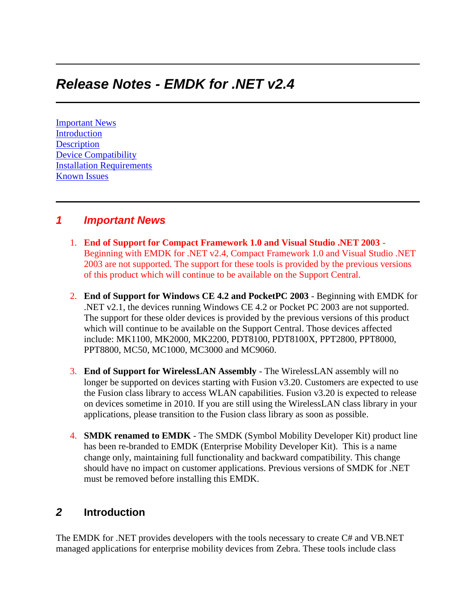# *Release Notes - EMDK for .NET v2.4*

[Important News](https://atgsupportcentral.motorolasolutions.com/content/emb/docs/ReleaseNotes/Release%20Notes%20-%20EMDK-M-020403TnV1.htm#Important_News) [Introduction](https://atgsupportcentral.motorolasolutions.com/content/emb/docs/ReleaseNotes/Release%20Notes%20-%20EMDK-M-020403TnV1.htm#Introduction) **[Description](https://atgsupportcentral.motorolasolutions.com/content/emb/docs/ReleaseNotes/Release%20Notes%20-%20EMDK-M-020403TnV1.htm#Description)** [Device Compatibility](https://atgsupportcentral.motorolasolutions.com/content/emb/docs/ReleaseNotes/Release%20Notes%20-%20EMDK-M-020403TnV1.htm#Compatibility_) [Installation Requirements](https://atgsupportcentral.motorolasolutions.com/content/emb/docs/ReleaseNotes/Release%20Notes%20-%20EMDK-M-020403TnV1.htm#Installation_Requirements) [Known Issues](https://atgsupportcentral.motorolasolutions.com/content/emb/docs/ReleaseNotes/Release%20Notes%20-%20EMDK-M-020403TnV1.htm#Known_Issues)

### *1 Important News*

- 1. **End of Support for Compact Framework 1.0 and Visual Studio .NET 2003** Beginning with EMDK for .NET v2.4, Compact Framework 1.0 and Visual Studio .NET 2003 are not supported. The support for these tools is provided by the previous versions of this product which will continue to be available on the Support Central.
- 2. **End of Support for Windows CE 4.2 and PocketPC 2003** Beginning with EMDK for .NET v2.1, the devices running Windows CE 4.2 or Pocket PC 2003 are not supported. The support for these older devices is provided by the previous versions of this product which will continue to be available on the Support Central. Those devices affected include: MK1100, MK2000, MK2200, PDT8100, PDT8100X, PPT2800, PPT8000, PPT8800, MC50, MC1000, MC3000 and MC9060.
- 3. **End of Support for WirelessLAN Assembly** The WirelessLAN assembly will no longer be supported on devices starting with Fusion v3.20. Customers are expected to use the Fusion class library to access WLAN capabilities. Fusion v3.20 is expected to release on devices sometime in 2010. If you are still using the WirelessLAN class library in your applications, please transition to the Fusion class library as soon as possible.
- 4. **SMDK renamed to EMDK** The SMDK (Symbol Mobility Developer Kit) product line has been re-branded to EMDK (Enterprise Mobility Developer Kit). This is a name change only, maintaining full functionality and backward compatibility. This change should have no impact on customer applications. Previous versions of SMDK for .NET must be removed before installing this EMDK.

### *2* **Introduction**

The EMDK for .NET provides developers with the tools necessary to create C# and VB.NET managed applications for enterprise mobility devices from Zebra. These tools include class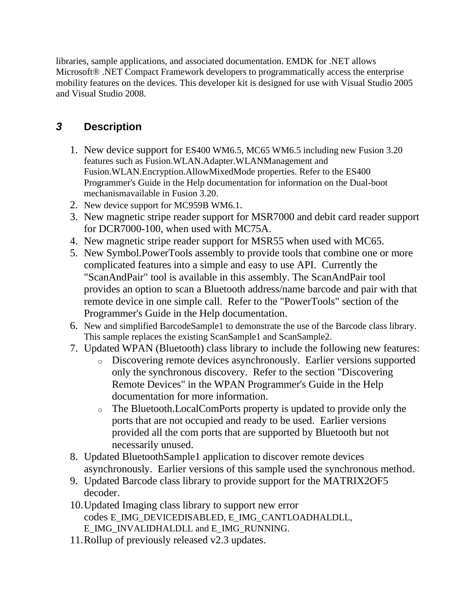libraries, sample applications, and associated documentation. EMDK for .NET allows Microsoft® .NET Compact Framework developers to programmatically access the enterprise mobility features on the devices. This developer kit is designed for use with Visual Studio 2005 and Visual Studio 2008.

# *3* **Description**

- 1. New device support for ES400 WM6.5, MC65 WM6.5 including new Fusion 3.20 features such as Fusion.WLAN.Adapter.WLANManagement and Fusion.WLAN.Encryption.AllowMixedMode properties. Refer to the ES400 Programmer's Guide in the Help documentation for information on the Dual-boot mechanismavailable in Fusion 3.20.
- 2. New device support for MC959B WM6.1.
- 3. New magnetic stripe reader support for MSR7000 and debit card reader support for DCR7000-100, when used with MC75A.
- 4. New magnetic stripe reader support for MSR55 when used with MC65.
- 5. New Symbol.PowerTools assembly to provide tools that combine one or more complicated features into a simple and easy to use API. Currently the "ScanAndPair" tool is available in this assembly. The ScanAndPair tool provides an option to scan a Bluetooth address/name barcode and pair with that remote device in one simple call. Refer to the "PowerTools" section of the Programmer's Guide in the Help documentation.
- 6. New and simplified BarcodeSample1 to demonstrate the use of the Barcode class library. This sample replaces the existing ScanSample1 and ScanSample2.
- 7. Updated WPAN (Bluetooth) class library to include the following new features:
	- o Discovering remote devices asynchronously. Earlier versions supported only the synchronous discovery. Refer to the section "Discovering Remote Devices" in the WPAN Programmer's Guide in the Help documentation for more information.
	- o The Bluetooth.LocalComPorts property is updated to provide only the ports that are not occupied and ready to be used. Earlier versions provided all the com ports that are supported by Bluetooth but not necessarily unused.
- 8. Updated BluetoothSample1 application to discover remote devices asynchronously. Earlier versions of this sample used the synchronous method.
- 9. Updated Barcode class library to provide support for the MATRIX2OF5 decoder.
- 10.Updated Imaging class library to support new error codes E\_IMG\_DEVICEDISABLED, E\_IMG\_CANTLOADHALDLL, E\_IMG\_INVALIDHALDLL and E\_IMG\_RUNNING.
- 11.Rollup of previously released v2.3 updates.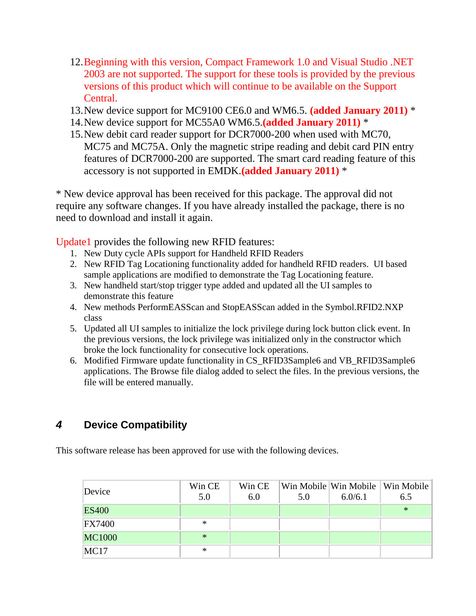- 12.Beginning with this version, Compact Framework 1.0 and Visual Studio .NET 2003 are not supported. The support for these tools is provided by the previous versions of this product which will continue to be available on the Support Central.
- 13.New device support for MC9100 CE6.0 and WM6.5. **(added January 2011)** \*
- 14.New device support for MC55A0 WM6.5.**(added January 2011)** \*
- 15.New debit card reader support for DCR7000-200 when used with MC70, MC75 and MC75A. Only the magnetic stripe reading and debit card PIN entry features of DCR7000-200 are supported. The smart card reading feature of this accessory is not supported in EMDK.**(added January 2011)** \*

\* New device approval has been received for this package. The approval did not require any software changes. If you have already installed the package, there is no need to download and install it again.

Update1 provides the following new RFID features:

- 1. New Duty cycle APIs support for Handheld RFID Readers
- 2. New RFID Tag Locationing functionality added for handheld RFID readers. UI based sample applications are modified to demonstrate the Tag Locationing feature.
- 3. New handheld start/stop trigger type added and updated all the UI samples to demonstrate this feature
- 4. New methods PerformEASScan and StopEASScan added in the Symbol.RFID2.NXP class
- 5. Updated all UI samples to initialize the lock privilege during lock button click event. In the previous versions, the lock privilege was initialized only in the constructor which broke the lock functionality for consecutive lock operations.
- 6. Modified Firmware update functionality in CS\_RFID3Sample6 and VB\_RFID3Sample6 applications. The Browse file dialog added to select the files. In the previous versions, the file will be entered manually.

## *4* **Device Compatibility**

This software release has been approved for use with the following devices.

| Device        | Win CE<br>5.0 | Win CE<br>6.0 | 5.0 | 6.0/6.1 | Win Mobile Win Mobile   Win Mobile  <br>6.5 |
|---------------|---------------|---------------|-----|---------|---------------------------------------------|
| <b>ES400</b>  |               |               |     |         | $\ast$                                      |
| <b>FX7400</b> | ∗             |               |     |         |                                             |
| <b>MC1000</b> | $*$           |               |     |         |                                             |
| MC17          | ∗             |               |     |         |                                             |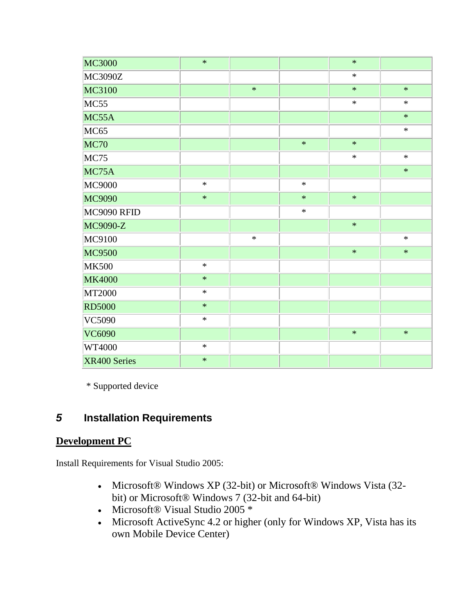| <b>MC3000</b> | $\ast$ |        |        | $\ast$ |        |
|---------------|--------|--------|--------|--------|--------|
| MC3090Z       |        |        |        | $\ast$ |        |
| MC3100        |        | $\ast$ |        | $\ast$ | $\ast$ |
| MC55          |        |        |        | $\ast$ | $\ast$ |
| MC55A         |        |        |        |        | $\ast$ |
| <b>MC65</b>   |        |        |        |        | $\ast$ |
| <b>MC70</b>   |        |        | $\ast$ | $\ast$ |        |
| MC75          |        |        |        | $\ast$ | $\ast$ |
| MC75A         |        |        |        |        | $\ast$ |
| <b>MC9000</b> | $\ast$ |        | $\ast$ |        |        |
| MC9090        | $\ast$ |        | $\ast$ | $\ast$ |        |
| MC9090 RFID   |        |        | $\ast$ |        |        |
| MC9090-Z      |        |        |        | $\ast$ |        |
| MC9100        |        | $\ast$ |        |        | $\ast$ |
| <b>MC9500</b> |        |        |        | $\ast$ | $\ast$ |
| <b>MK500</b>  | $\ast$ |        |        |        |        |
| <b>MK4000</b> | $\ast$ |        |        |        |        |
| MT2000        | $\ast$ |        |        |        |        |
| <b>RD5000</b> | $\ast$ |        |        |        |        |
| VC5090        | $\ast$ |        |        |        |        |
| <b>VC6090</b> |        |        |        | $\ast$ | $\ast$ |
| WT4000        | $\ast$ |        |        |        |        |
| XR400 Series  | $\ast$ |        |        |        |        |

\* Supported device

# *5* **Installation Requirements**

### **Development PC**

Install Requirements for Visual Studio 2005:

- Microsoft® Windows XP (32-bit) or Microsoft® Windows Vista (32 bit) or Microsoft® Windows 7 (32-bit and 64-bit)
- Microsoft® Visual Studio 2005 \*
- Microsoft ActiveSync 4.2 or higher (only for Windows XP, Vista has its own Mobile Device Center)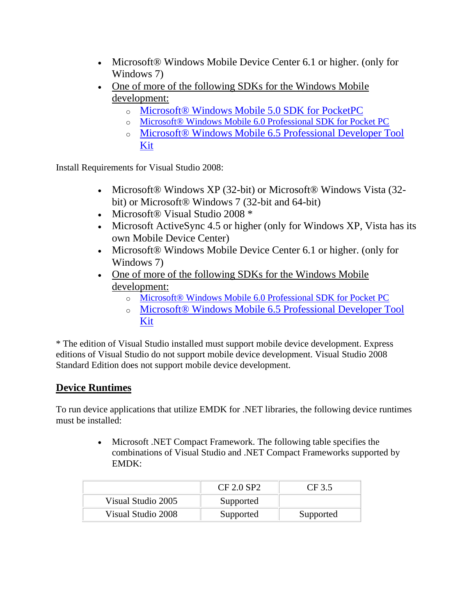- Microsoft® Windows Mobile Device Center 6.1 or higher. (only for Windows 7)
- [One of more of the following SDKs for the Windows Mobile](http://www.microsoft.com/downloads/details.aspx?FamilyID=83A52AF2-F524-4EC5-9155-717CBE5D25ED&displaylang=en)  [development:](http://www.microsoft.com/downloads/details.aspx?FamilyID=83A52AF2-F524-4EC5-9155-717CBE5D25ED&displaylang=en)
	- o [Microsoft® Windows Mobile 5.0 SDK for PocketPC](http://www.microsoft.com/downloads/details.aspx?FamilyID=83A52AF2-F524-4EC5-9155-717CBE5D25ED&displaylang=en)
	- o [Microsoft® Windows Mobile 6.0 Professional SDK for Pocket PC](http://www.microsoft.com/downloads/details.aspx?familyid=06111A3A-A651-4745-88EF-3D48091A390B&displaylang=en)
	- o [Microsoft® Windows Mobile 6.5 Professional Developer Tool](http://www.microsoft.com/downloads/details.aspx?FamilyID=20686a1d-97a8-4f80-bc6a-ae010e085a6e&displaylang=en)  [Kit](http://www.microsoft.com/downloads/details.aspx?FamilyID=20686a1d-97a8-4f80-bc6a-ae010e085a6e&displaylang=en)

Install Requirements for Visual Studio 2008:

- Microsoft® Windows XP (32-bit) or Microsoft® Windows Vista (32bit) or Microsoft® Windows 7 (32-bit and 64-bit)
- Microsoft® Visual Studio 2008 \*
- Microsoft ActiveSync 4.5 or higher (only for Windows XP, Vista has its own Mobile Device Center)
- Microsoft® Windows Mobile Device Center 6.1 or higher. (only for Windows 7)
- One of more of the following SDKs for the Windows Mobile [development:](http://www.microsoft.com/downloads/details.aspx?FamilyID=83A52AF2-F524-4EC5-9155-717CBE5D25ED&displaylang=en)
	- o [Microsoft® Windows Mobile 6.0 Professional SDK for Pocket PC](http://www.microsoft.com/downloads/details.aspx?familyid=06111A3A-A651-4745-88EF-3D48091A390B&displaylang=en)
	- o [Microsoft® Windows Mobile 6.5 Professional Developer Tool](http://www.microsoft.com/downloads/details.aspx?FamilyID=20686a1d-97a8-4f80-bc6a-ae010e085a6e&displaylang=en)  [Kit](http://www.microsoft.com/downloads/details.aspx?FamilyID=20686a1d-97a8-4f80-bc6a-ae010e085a6e&displaylang=en)

\* The edition of Visual Studio installed must support mobile device development. Express editions of Visual Studio do not support mobile device development. Visual Studio 2008 Standard Edition does not support mobile device development.

## **Device Runtimes**

To run device applications that utilize EMDK for .NET libraries, the following device runtimes must be installed:

> Microsoft .NET Compact Framework. The following table specifies the combinations of Visual Studio and .NET Compact Frameworks supported by EMDK:

|                    | CF 2.0 SP2 | CF 3.5    |
|--------------------|------------|-----------|
| Visual Studio 2005 | Supported  |           |
| Visual Studio 2008 | Supported  | Supported |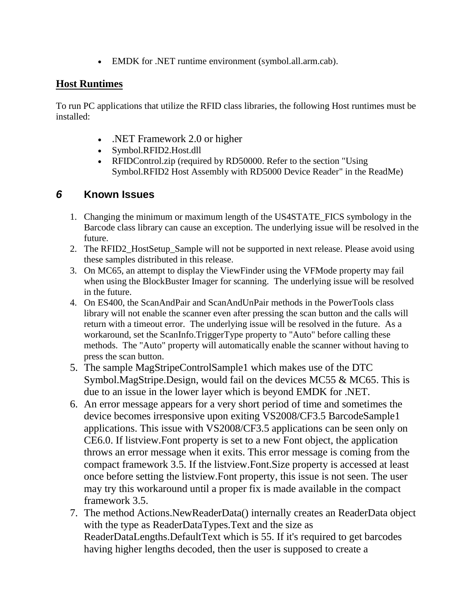EMDK for .NET runtime environment (symbol.all.arm.cab).

#### **Host Runtimes**

To run PC applications that utilize the RFID class libraries, the following Host runtimes must be installed:

- .NET Framework 2.0 or higher
- Symbol.RFID2.Host.dll
- RFIDControl.zip (required by RD50000. Refer to the section "Using" Symbol.RFID2 Host Assembly with RD5000 Device Reader" in the ReadMe)

## *6* **Known Issues**

- 1. Changing the minimum or maximum length of the US4STATE\_FICS symbology in the Barcode class library can cause an exception. The underlying issue will be resolved in the future.
- 2. The RFID2 HostSetup Sample will not be supported in next release. Please avoid using these samples distributed in this release.
- 3. On MC65, an attempt to display the ViewFinder using the VFMode property may fail when using the BlockBuster Imager for scanning. The underlying issue will be resolved in the future.
- 4. On ES400, the ScanAndPair and ScanAndUnPair methods in the PowerTools class library will not enable the scanner even after pressing the scan button and the calls will return with a timeout error. The underlying issue will be resolved in the future. As a workaround, set the ScanInfo.TriggerType property to "Auto" before calling these methods. The "Auto" property will automatically enable the scanner without having to press the scan button.
- 5. The sample MagStripeControlSample1 which makes use of the DTC Symbol.MagStripe.Design, would fail on the devices MC55 & MC65. This is due to an issue in the lower layer which is beyond EMDK for .NET.
- 6. An error message appears for a very short period of time and sometimes the device becomes irresponsive upon exiting VS2008/CF3.5 BarcodeSample1 applications. This issue with VS2008/CF3.5 applications can be seen only on CE6.0. If listview.Font property is set to a new Font object, the application throws an error message when it exits. This error message is coming from the compact framework 3.5. If the listview.Font.Size property is accessed at least once before setting the listview.Font property, this issue is not seen. The user may try this workaround until a proper fix is made available in the compact framework 3.5.
- 7. The method Actions.NewReaderData() internally creates an ReaderData object with the type as ReaderDataTypes.Text and the size as ReaderDataLengths.DefaultText which is 55. If it's required to get barcodes having higher lengths decoded, then the user is supposed to create a